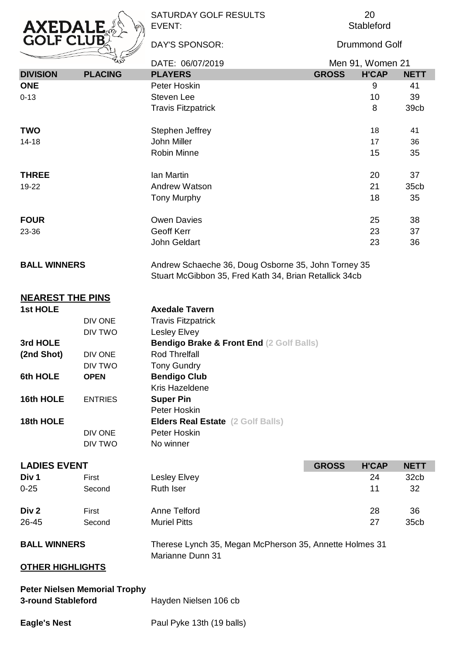

SATURDAY GOLF RESULTS EVENT:

DAY'S SPONSOR:

**Stableford** 20

Drummond Golf

|                 | W                                                                                                                                    | DATE: 06/07/2019          | Men 91, Women 21 |              |             |
|-----------------|--------------------------------------------------------------------------------------------------------------------------------------|---------------------------|------------------|--------------|-------------|
| <b>DIVISION</b> | <b>PLACING</b>                                                                                                                       | <b>PLAYERS</b>            | <b>GROSS</b>     | <b>H'CAP</b> | <b>NETT</b> |
| <b>ONE</b>      |                                                                                                                                      | Peter Hoskin              |                  | 9            | 41          |
| $0 - 13$        |                                                                                                                                      | <b>Steven Lee</b>         |                  | 10           | 39          |
|                 |                                                                                                                                      | <b>Travis Fitzpatrick</b> |                  | 8            | 39cb        |
| <b>TWO</b>      |                                                                                                                                      | Stephen Jeffrey           |                  | 18           | 41          |
| $14 - 18$       |                                                                                                                                      | John Miller               |                  | 17           | 36          |
|                 |                                                                                                                                      | <b>Robin Minne</b>        |                  | 15           | 35          |
| <b>THREE</b>    |                                                                                                                                      | Ian Martin                |                  | 20           | 37          |
| 19-22           |                                                                                                                                      | Andrew Watson             |                  | 21           | 35cb        |
|                 |                                                                                                                                      | <b>Tony Murphy</b>        |                  | 18           | 35          |
| <b>FOUR</b>     |                                                                                                                                      | <b>Owen Davies</b>        |                  | 25           | 38          |
| 23-36           |                                                                                                                                      | Geoff Kerr                |                  | 23           | 37          |
|                 |                                                                                                                                      | John Geldart              |                  | 23           | 36          |
|                 | <b>BALL WINNERS</b><br>Andrew Schaeche 36, Doug Osborne 35, John Torney 35<br>Stuart McGibbon 35, Fred Kath 34, Brian Retallick 34cb |                           |                  |              |             |
|                 |                                                                                                                                      |                           |                  |              |             |

| 1st HOLE   |                | <b>Axedale Tavern</b>                               |
|------------|----------------|-----------------------------------------------------|
|            | DIV ONE        | <b>Travis Fitzpatrick</b>                           |
|            | DIV TWO        | Lesley Elvey                                        |
| 3rd HOLE   |                | <b>Bendigo Brake &amp; Front End (2 Golf Balls)</b> |
| (2nd Shot) | DIV ONE        | <b>Rod Threlfall</b>                                |
|            | DIV TWO        | <b>Tony Gundry</b>                                  |
| 6th HOLE   | <b>OPEN</b>    | <b>Bendigo Club</b>                                 |
|            |                | Kris Hazeldene                                      |
| 16th HOLE  | <b>ENTRIES</b> | <b>Super Pin</b>                                    |
|            |                | Peter Hoskin                                        |
| 18th HOLE  |                | <b>Elders Real Estate</b> (2 Golf Balls)            |
|            | DIV ONE        | Peter Hoskin                                        |
|            | DIV TWO        | No winner                                           |
|            |                |                                                     |

| <b>LADIES EVENT</b> |        |                                                         |  | <b>H'CAP</b> | <b>NETT</b>      |
|---------------------|--------|---------------------------------------------------------|--|--------------|------------------|
| Div 1               | First  | Lesley Elvey                                            |  | 24           | 32cb             |
| $0 - 25$            | Second | <b>Ruth Iser</b>                                        |  | 11           | 32               |
| Div 2               | First  | Anne Telford                                            |  | 28           | 36               |
| 26-45               | Second | <b>Muriel Pitts</b>                                     |  | 27           | 35 <sub>cb</sub> |
| <b>BALL WINNERS</b> |        | Therese Lynch 35, Megan McPherson 35, Annette Holmes 31 |  |              |                  |

Marianne Dunn 31

## **OTHER HIGHLIGHTS**

**NEAREST THE PINS**

| <b>Peter Nielsen Memorial Trophy</b> |                       |
|--------------------------------------|-----------------------|
| <b>3-round Stableford</b>            | Hayden Nielsen 106 cb |
|                                      |                       |